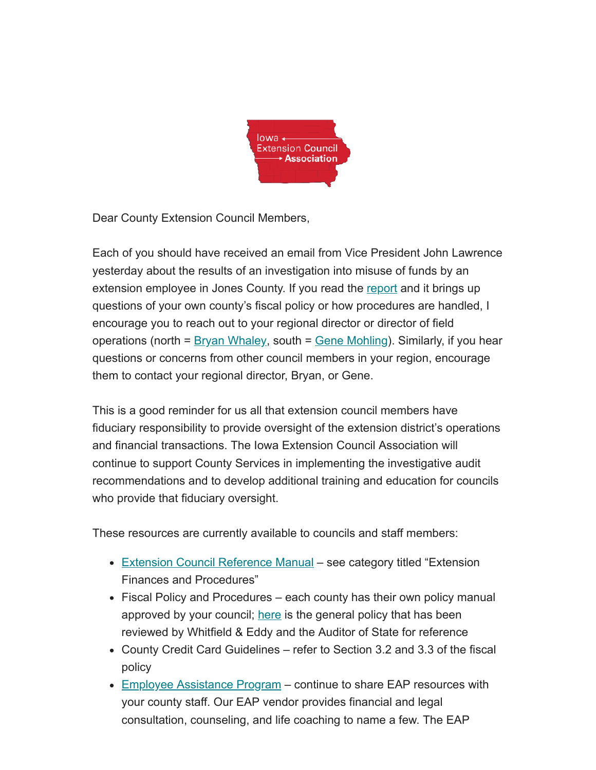

Dear County Extension Council Members,

Each of you should have received an email from Vice President John Lawrence yesterday about the results of an investigation into misuse of funds by an extension employee in Jones County. If you read the [report](https://www.auditor.iowa.gov/reports/file/67777/embed) and it brings up questions of your own county's fiscal policy or how procedures are handled, I encourage you to reach out to your regional director or director of field operations (north = <u>Bryan Whaley</u>, south = <u>Gene Mohling</u>). Similarly, if you hear questions or concerns from other council members in your region, encourage them to contact your regional director, Bryan, or Gene.

This is a good reminder for us all that extension council members have fiduciary responsibility to provide oversight of the extension district's operations and financial transactions. The Iowa Extension Council Association will continue to support County Services in implementing the investigative audit recommendations and to develop additional training and education for councils who provide that fiduciary oversight.

These resources are currently available to councils and staff members:

- [Extension Council Reference Manual](https://iaextensioncouncils.us5.list-manage.com/track/click?u=7fd11d1d935ecde7bf82c8d73&id=6bfc7fc144&e=0c0c6b3ed4) see category titled "Extension" Finances and Procedures"
- Fiscal Policy and Procedures each county has their own policy manual approved by your council; [here](https://iaextensioncouncils.us5.list-manage.com/track/click?u=7fd11d1d935ecde7bf82c8d73&id=ce6dd3b8e7&e=0c0c6b3ed4) is the general policy that has been reviewed by Whitfield & Eddy and the Auditor of State for reference
- County Credit Card Guidelines refer to Section 3.2 and 3.3 of the fiscal policy
- [Employee Assistance Program](https://iaextensioncouncils.us5.list-manage.com/track/click?u=7fd11d1d935ecde7bf82c8d73&id=d1d58686c5&e=0c0c6b3ed4) continue to share EAP resources with your county staff. Our EAP vendor provides financial and legal consultation, counseling, and life coaching to name a few. The EAP